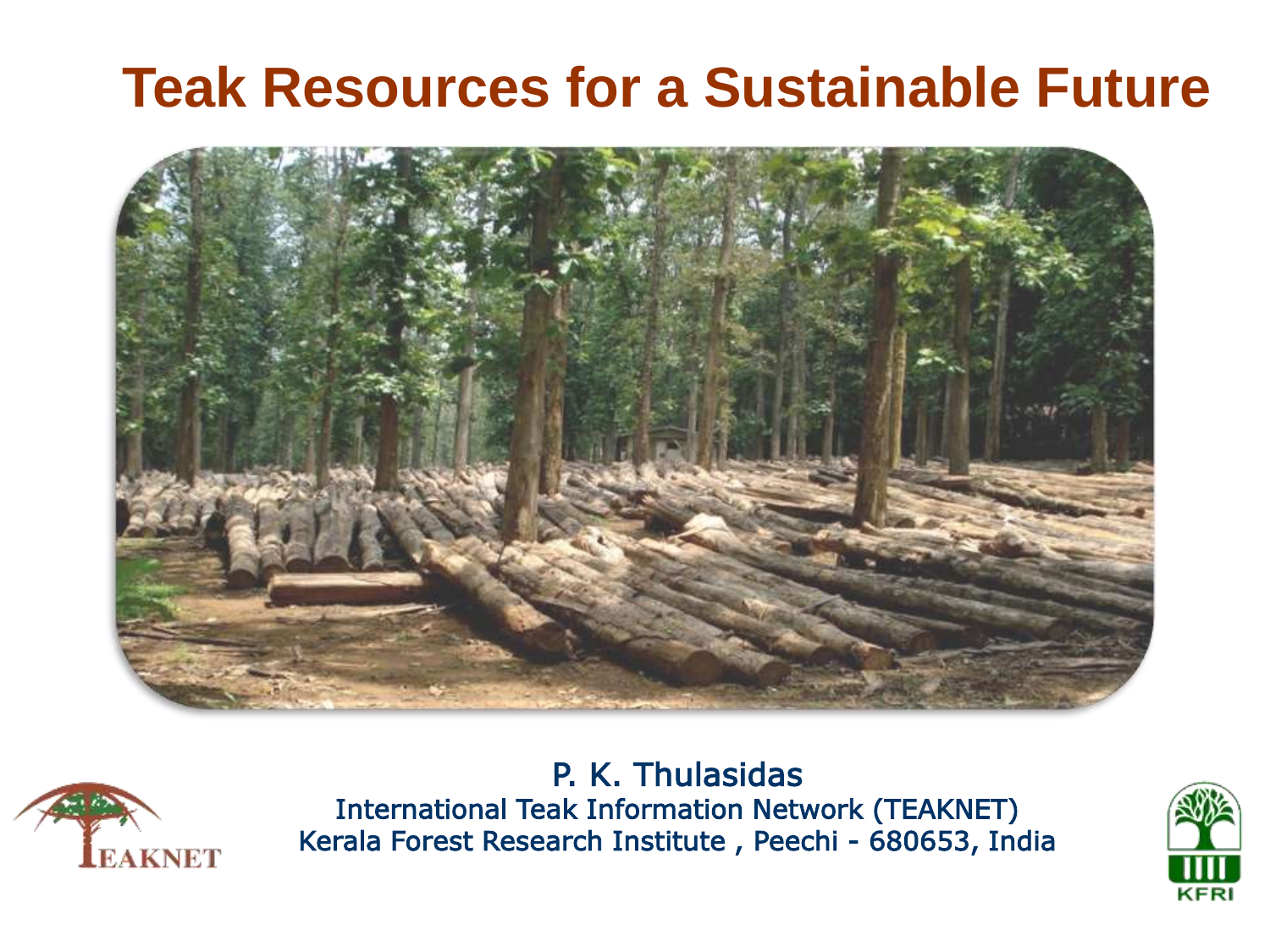## **Teak Resources for a Sustainable Future**





P. K. Thulasidas International Teak Information Network (TEAKNET) Kerala Forest Research Institute , Peechi - 680653, India

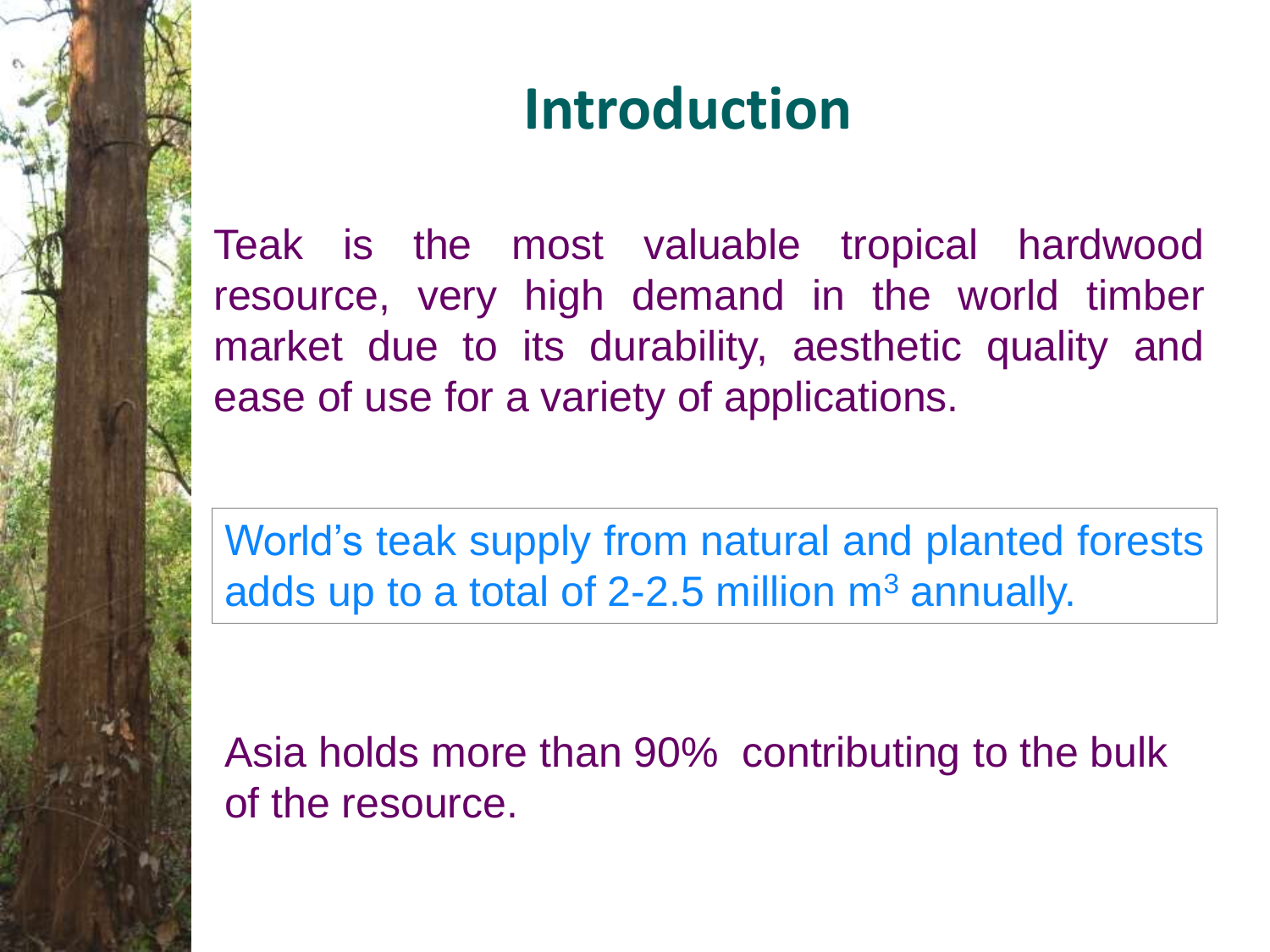# **Introduction**

Teak is the most valuable tropical hardwood resource, very high demand in the world timber market due to its durability, aesthetic quality and ease of use for a variety of applications.

World's teak supply from natural and planted forests adds up to a total of 2-2.5 million  $m<sup>3</sup>$  annually.

Asia holds more than 90% contributing to the bulk of the resource.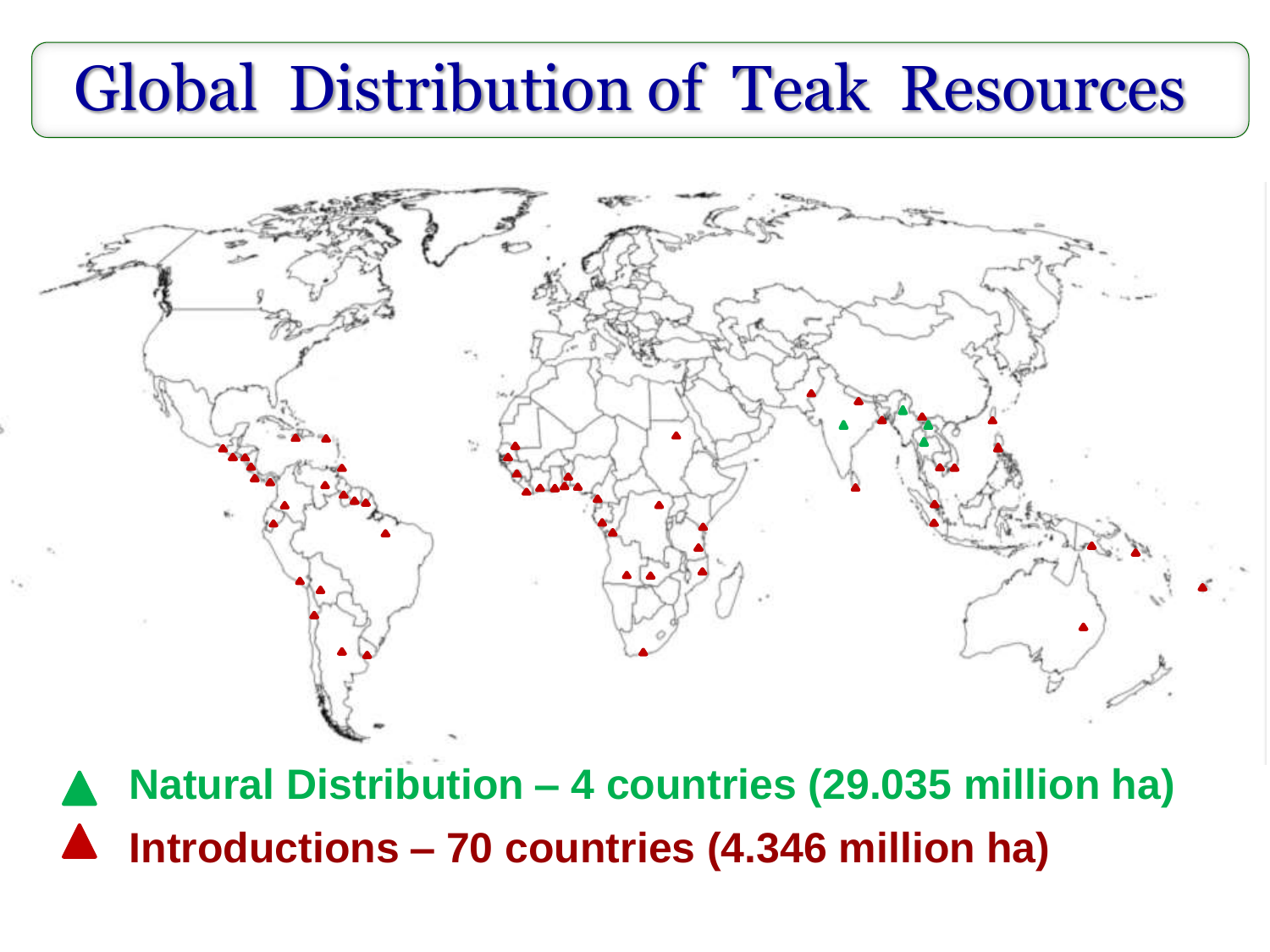# Global Distribution of Teak Resources



**Natural Distribution – 4 countries (29.035 million ha) Introductions – 70 countries (4.346 million ha)**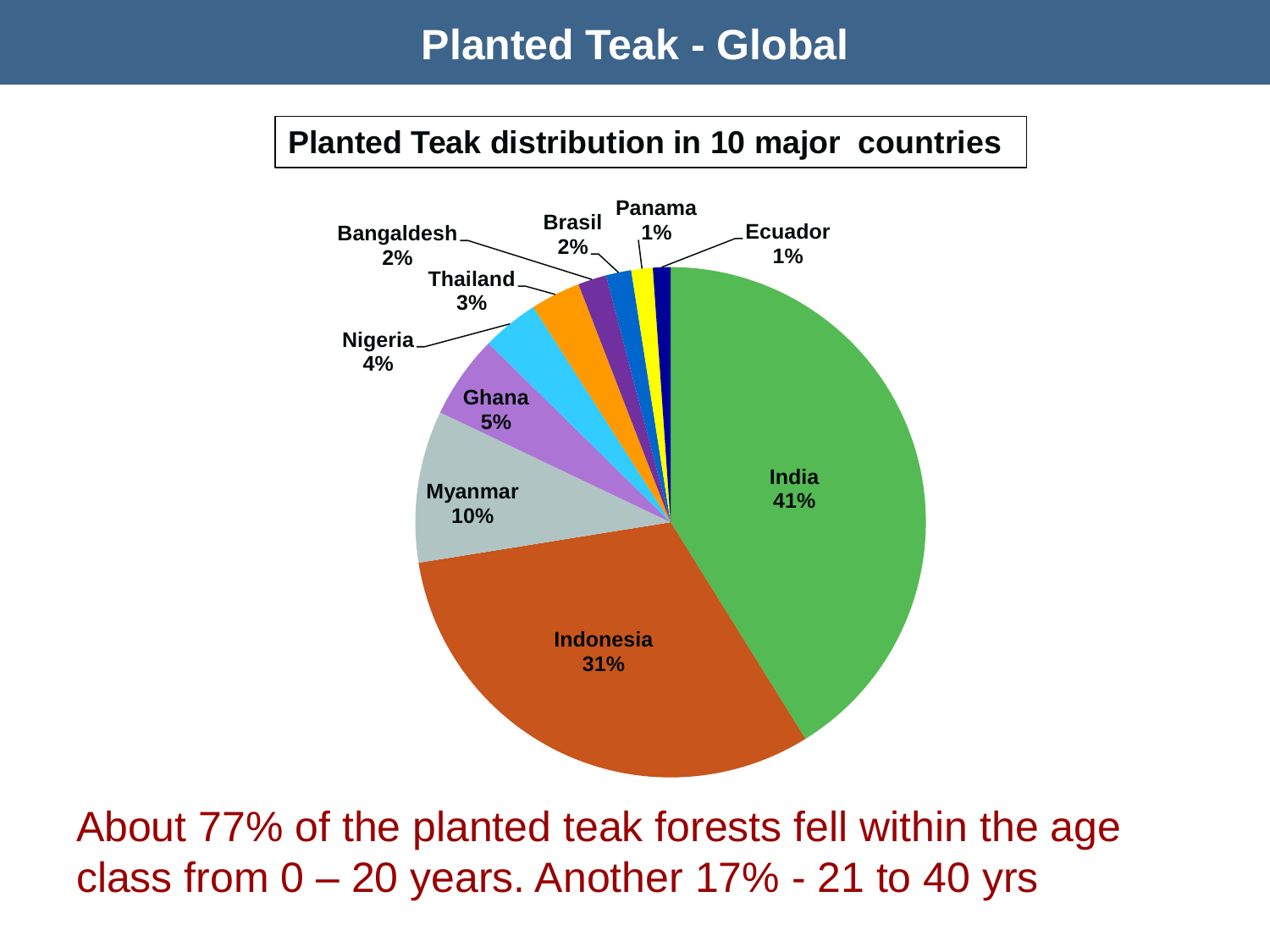#### **Planted Teak - Global**

#### **Planted Teak distribution in 10 major countries**



About 77% of the planted teak forests fell within the age class from  $0 - 20$  years. Another 17% - 21 to 40 yrs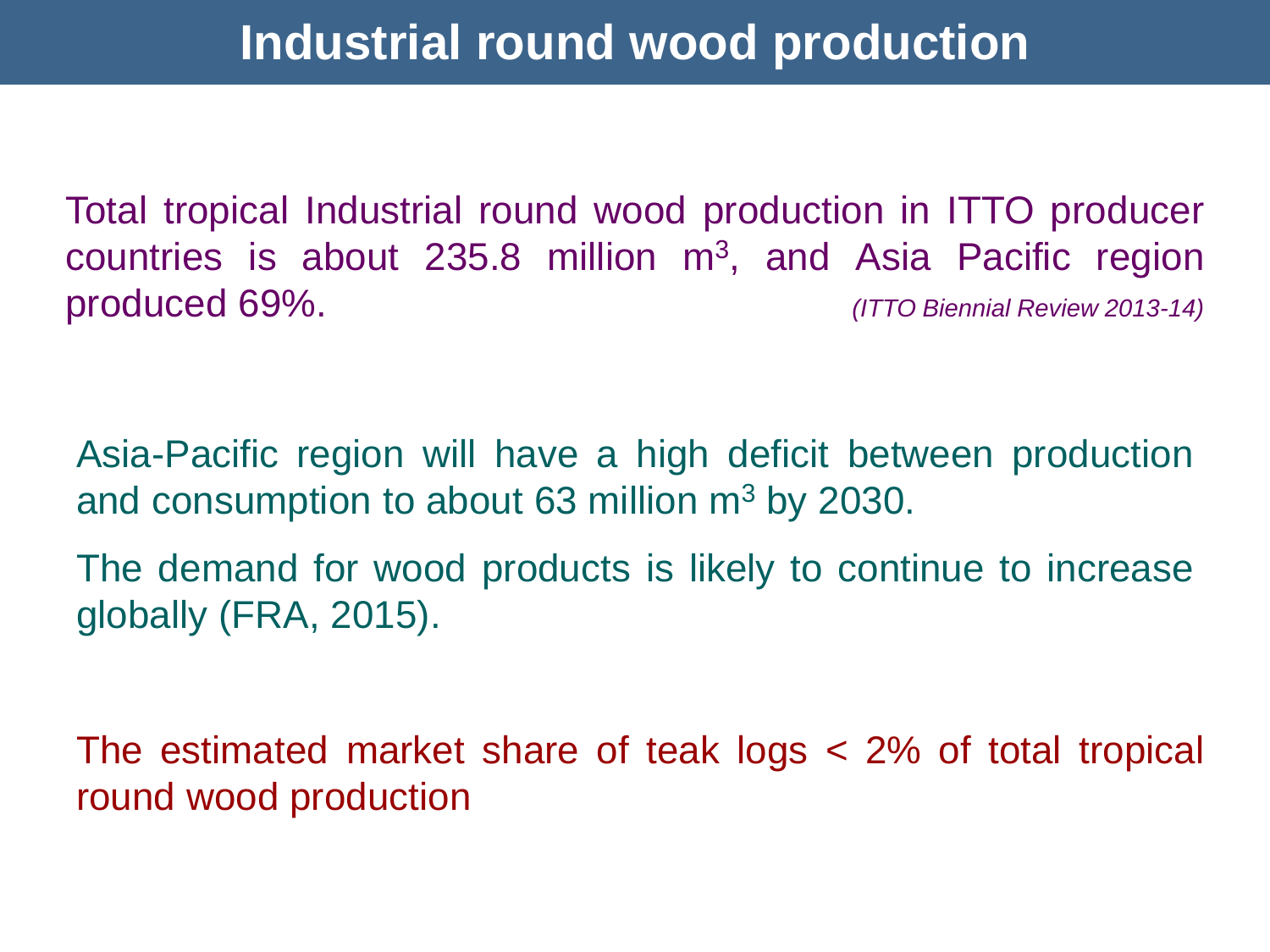Total tropical Industrial round wood production in ITTO producer countries is about 235.8 million  $m^3$ , and Asia Pacific region produced 69%. *(ITTO Biennial Review 2013-14)*

Asia-Pacific region will have a high deficit between production and consumption to about 63 million m<sup>3</sup> by 2030.

The demand for wood products is likely to continue to increase globally (FRA, 2015).

The estimated market share of teak logs < 2% of total tropical round wood production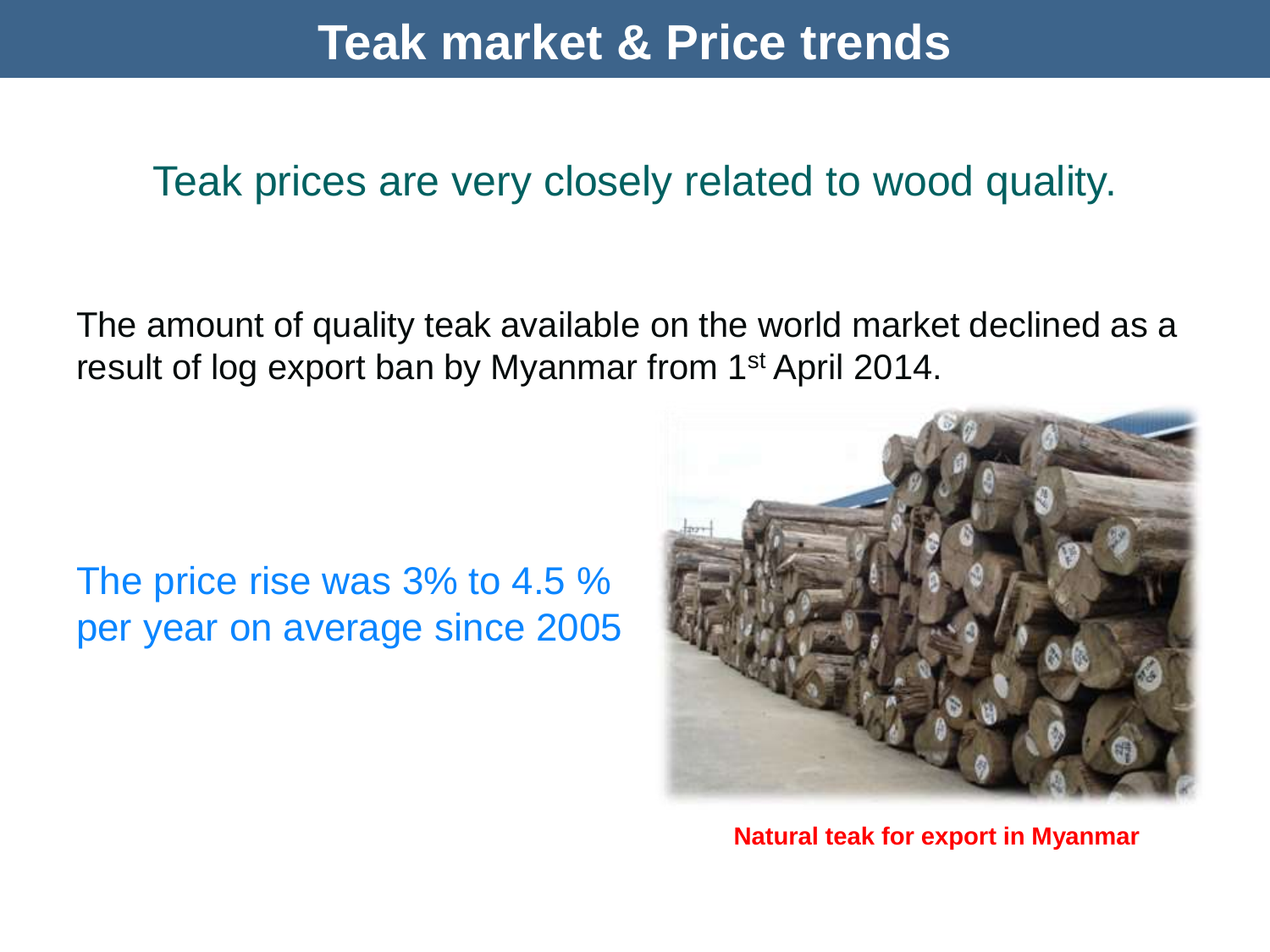### **Teak market & Price trends**

#### Teak prices are very closely related to wood quality.

The amount of quality teak available on the world market declined as a result of log export ban by Myanmar from 1<sup>st</sup> April 2014.

#### The price rise was 3% to 4.5 % per year on average since 2005



**Natural teak for export in Myanmar**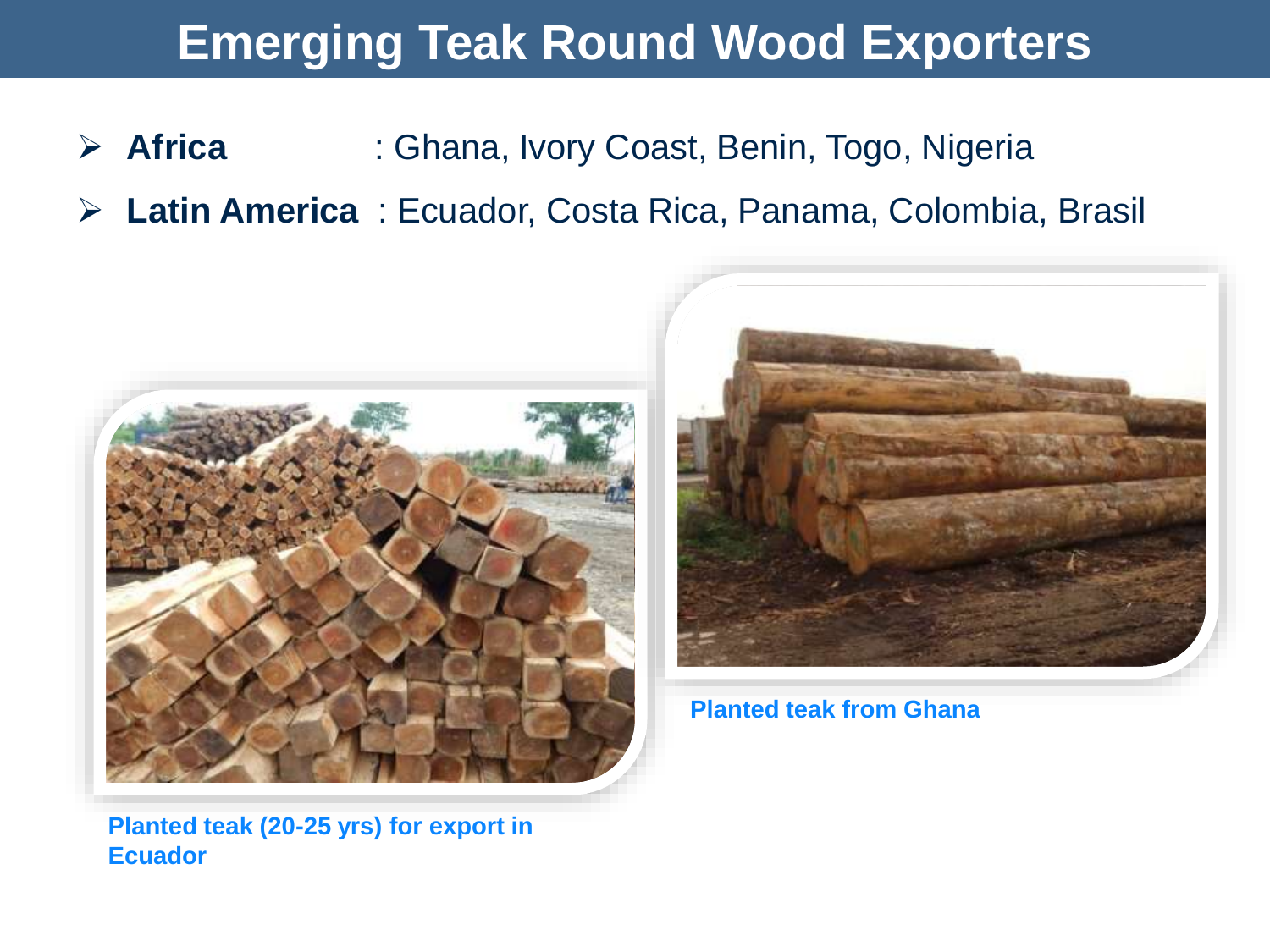### **Emerging Teak Round Wood Exporters**

- **Africa** : Ghana, Ivory Coast, Benin, Togo, Nigeria
- **Latin America** : Ecuador, Costa Rica, Panama, Colombia, Brasil



**Planted teak (20-25 yrs) for export in Ecuador**



**Planted teak from Ghana**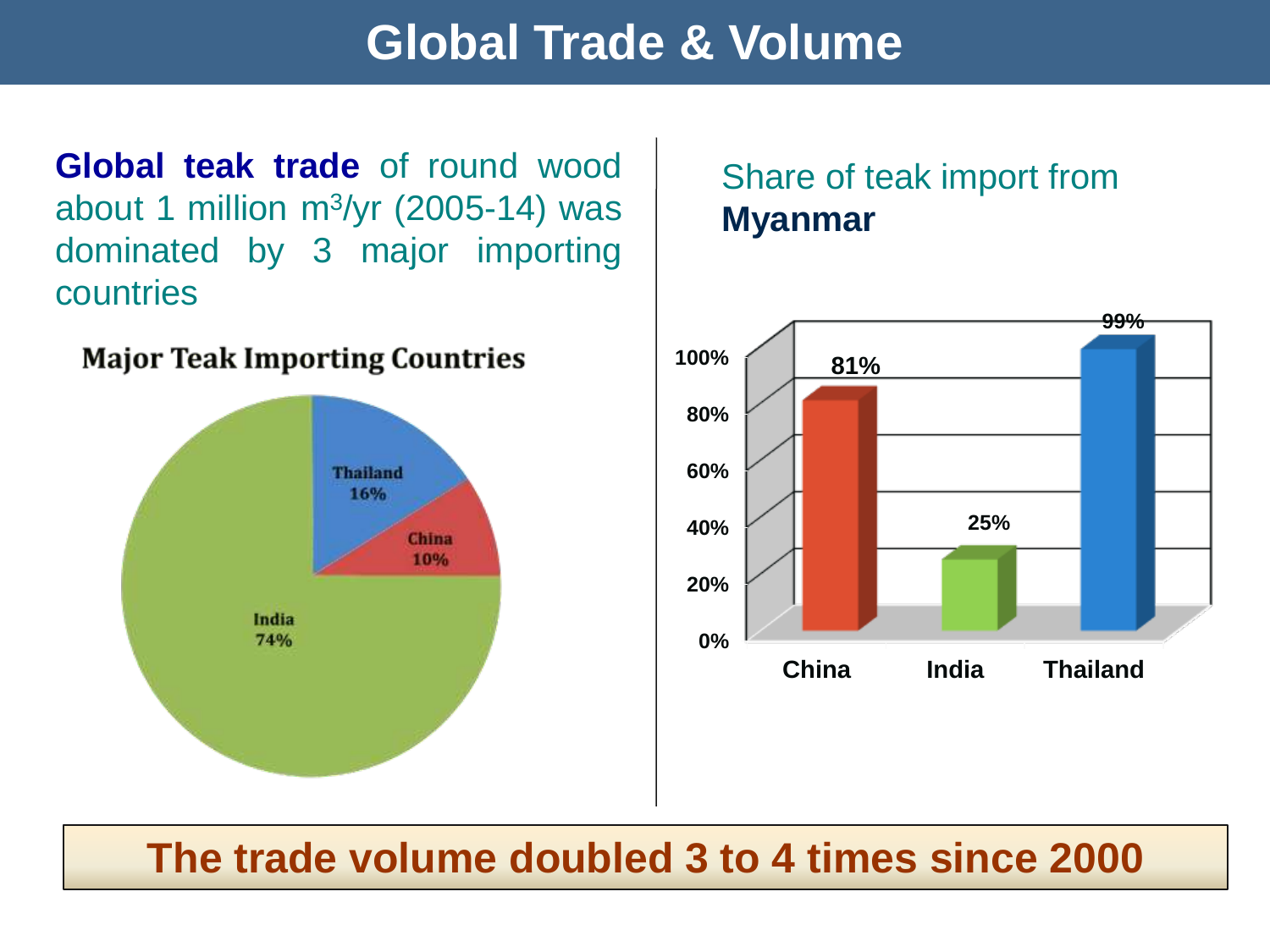### **Global Trade & Volume**

**Global teak trade** of round wood about 1 million m $\frac{3}{yr}$  (2005-14) was dominated by 3 major importing countries

## **Major Teak Importing Countries Thailand** 16% **China** 10% India 74%

#### Share of teak import from **Myanmar**



#### **The trade volume doubled 3 to 4 times since 2000**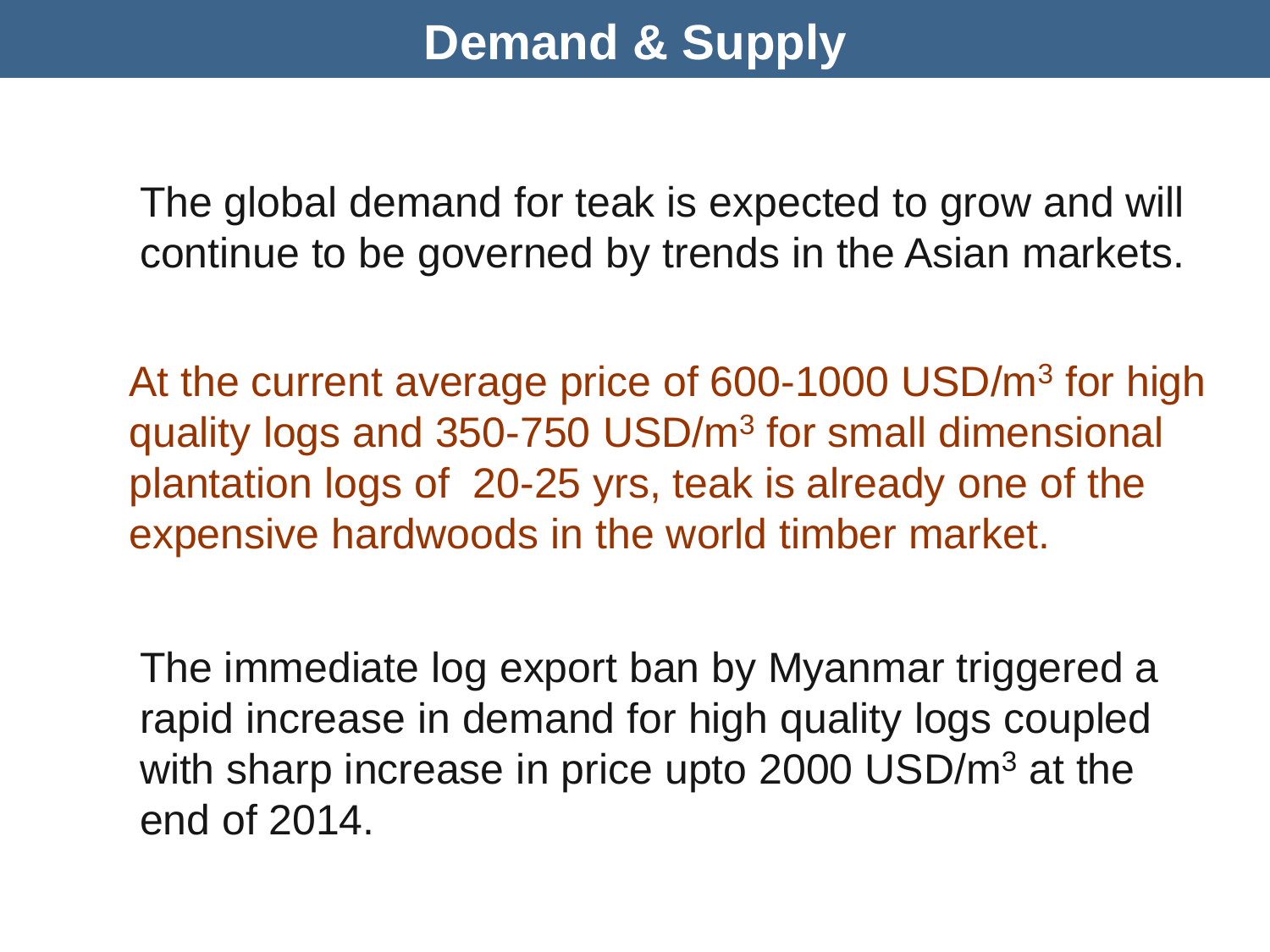### **Demand & Supply**

The global demand for teak is expected to grow and will continue to be governed by trends in the Asian markets.

At the current average price of 600-1000 USD/m<sup>3</sup> for high quality logs and 350-750 USD/m<sup>3</sup> for small dimensional plantation logs of 20-25 yrs, teak is already one of the expensive hardwoods in the world timber market.

The immediate log export ban by Myanmar triggered a rapid increase in demand for high quality logs coupled with sharp increase in price upto 2000 USD/m<sup>3</sup> at the end of 2014.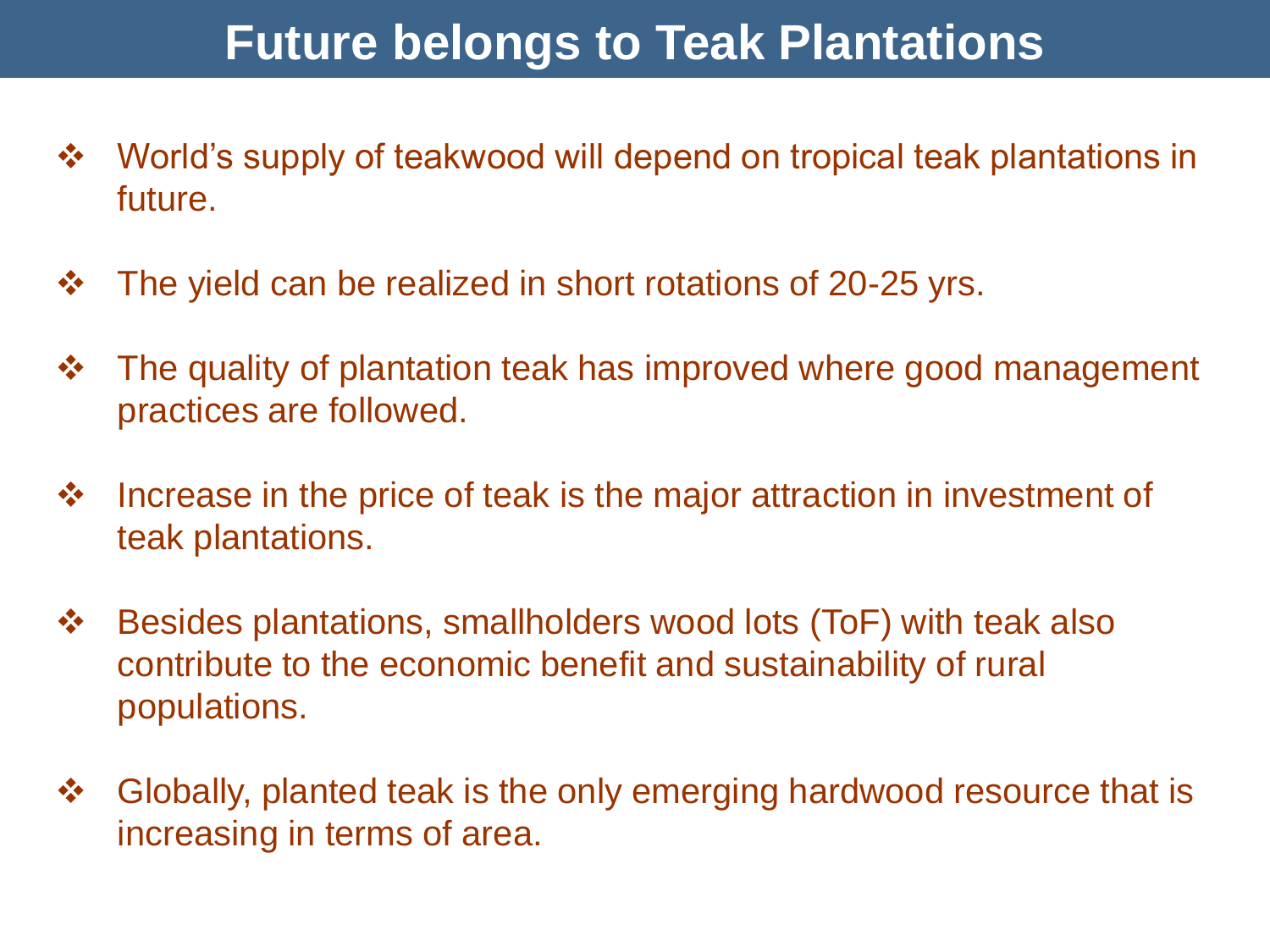### **Future belongs to Teak Plantations**

- $\cdot\cdot\cdot$  **World's supply of teakwood will depend on tropical teak plantations in** future.
- The yield can be realized in short rotations of 20-25 yrs.
- $\cdot \cdot$  The quality of plantation teak has improved where good management practices are followed.
- $\cdot\cdot\cdot$  Increase in the price of teak is the major attraction in investment of teak plantations.
- Besides plantations, smallholders wood lots (ToF) with teak also contribute to the economic benefit and sustainability of rural populations.
- ❖ Globally, planted teak is the only emerging hardwood resource that is increasing in terms of area.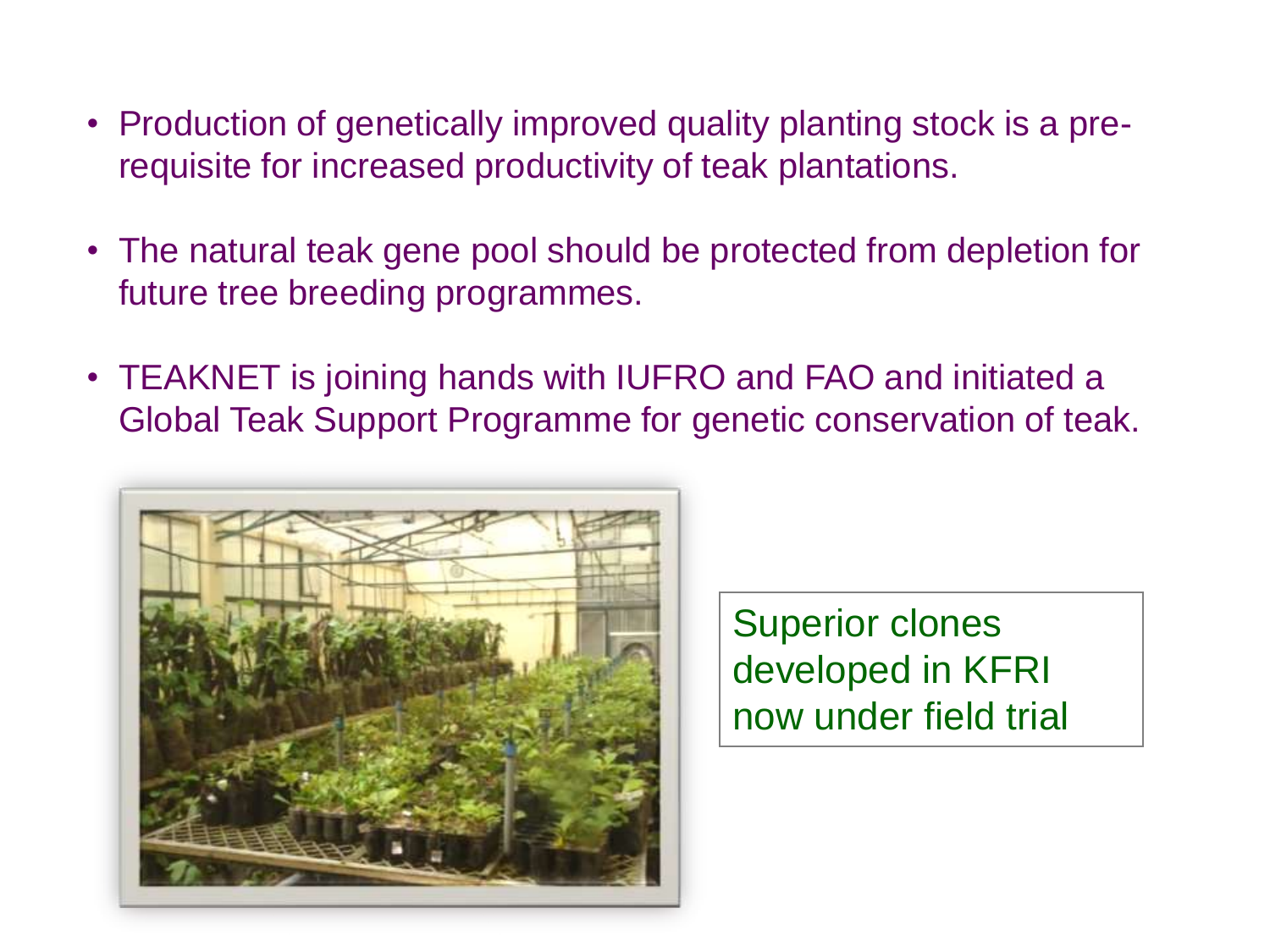- Production of genetically improved quality planting stock is a prerequisite for increased productivity of teak plantations.
- The natural teak gene pool should be protected from depletion for future tree breeding programmes.
- TEAKNET is joining hands with IUFRO and FAO and initiated a Global Teak Support Programme for genetic conservation of teak.



Superior clones developed in KFRI now under field trial